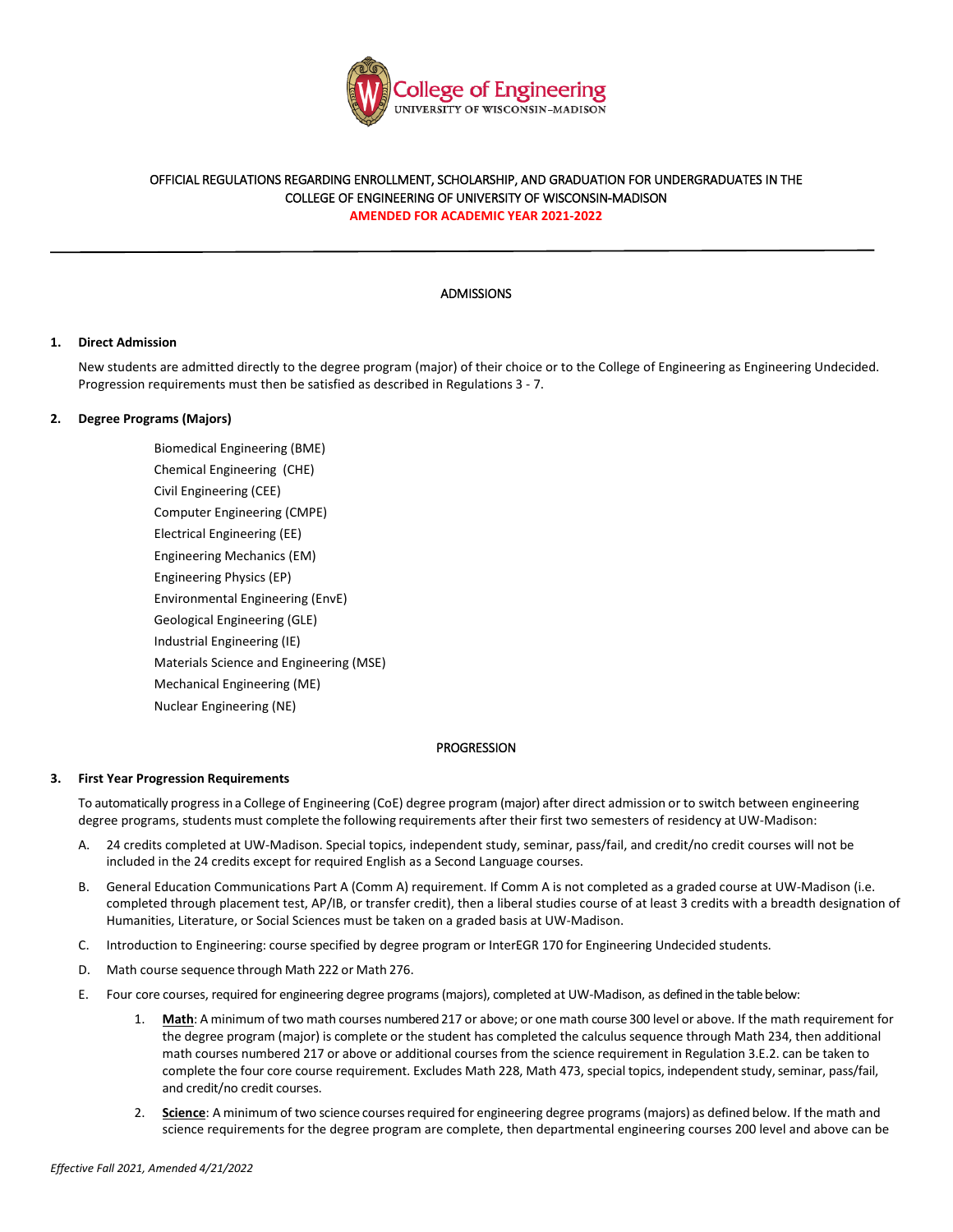

# OFFICIAL REGULATIONS REGARDING ENROLLMENT, SCHOLARSHIP, AND GRADUATION FOR UNDERGRADUATES IN THE COLLEGE OF ENGINEERING OF UNIVERSITY OF WISCONSIN-MADISON

**AMENDED FOR ACADEMIC YEAR 2021-2022** 

## ADMISSIONS

## **1. Direct Admission**

New students are admitted directly to the degree program (major) of their choice or to the College of Engineering as Engineering Undecided. Progression requirements must then be satisfied as described in Regulations 3 - 7.

## **2. Degree Programs (Majors)**

Biomedical Engineering (BME) Chemical Engineering (CHE) Civil Engineering (CEE) Computer Engineering (CMPE) Electrical Engineering (EE) Engineering Mechanics (EM) Engineering Physics (EP) Environmental Engineering (EnvE) Geological Engineering (GLE) Industrial Engineering (IE) Materials Science and Engineering (MSE) Mechanical Engineering (ME) Nuclear Engineering (NE)

## PROGRESSION

# **3. First Year Progression Requirements**

To automatically progress in a College of Engineering (CoE) degree program (major) after direct admission or to switch between engineering degree programs, students must complete the following requirements after their first two semesters of residency at UW-Madison:

- A. 24 credits completed at UW-Madison. Special topics, independent study, seminar, pass/fail, and credit/no credit courses will not be included in the 24 credits except for required English as a Second Language courses.
- B. General Education Communications Part A (Comm A) requirement. If Comm A is not completed as a graded course at UW-Madison (i.e. completed through placement test, AP/IB, or transfer credit), then a liberal studies course of at least 3 credits with a breadth designation of Humanities, Literature, or Social Sciences must be taken on a graded basis at UW-Madison.
- C. Introduction to Engineering: course specified by degree program or InterEGR 170 for Engineering Undecided students.
- D. Math course sequence through Math 222 or Math 276.
- E. Four core courses, required for engineering degree programs (majors), completed at UW-Madison, as defined in the table below:
	- 1. **Math**: A minimum of two math courses numbered 217 or above; or one math course 300 level or above. If the math requirement for the degree program (major) is complete or the student has completed the calculus sequence through Math 234, then additional math courses numbered 217 or above or additional courses from the science requirement in Regulation 3.E.2. can be taken to complete the four core course requirement. Excludes Math 228, Math 473, special topics, independent study, seminar, pass/fail, and credit/no credit courses.
	- 2. **Science**: A minimum of two science courses required for engineering degree programs (majors) as defined below. If the math and science requirements for the degree program are complete, then departmental engineering courses 200 level and above can be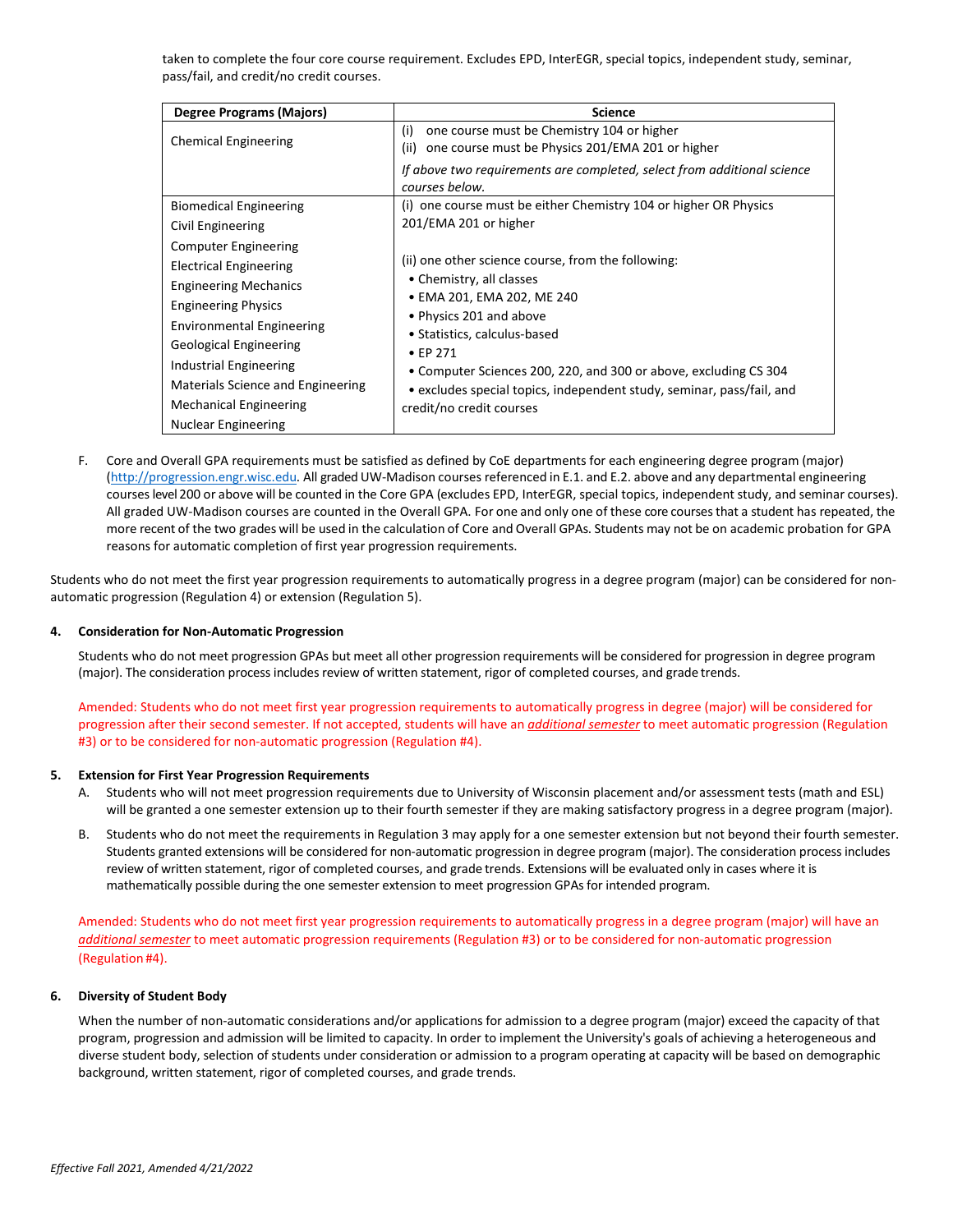taken to complete the four core course requirement. Excludes EPD, InterEGR, special topics, independent study, seminar, pass/fail, and credit/no credit courses.

| Degree Programs (Majors)          | <b>Science</b>                                                          |
|-----------------------------------|-------------------------------------------------------------------------|
| <b>Chemical Engineering</b>       | one course must be Chemistry 104 or higher<br>(i)                       |
|                                   | one course must be Physics 201/EMA 201 or higher<br>(ii)                |
|                                   | If above two requirements are completed, select from additional science |
|                                   | courses below.                                                          |
| <b>Biomedical Engineering</b>     | (i) one course must be either Chemistry 104 or higher OR Physics        |
| Civil Engineering                 | 201/EMA 201 or higher                                                   |
| <b>Computer Engineering</b>       |                                                                         |
| Electrical Engineering            | (ii) one other science course, from the following:                      |
| <b>Engineering Mechanics</b>      | • Chemistry, all classes                                                |
| <b>Engineering Physics</b>        | • EMA 201, EMA 202, ME 240                                              |
| <b>Environmental Engineering</b>  | • Physics 201 and above                                                 |
| Geological Engineering            | • Statistics, calculus-based<br>$\bullet$ FP 271                        |
| Industrial Engineering            | • Computer Sciences 200, 220, and 300 or above, excluding CS 304        |
| Materials Science and Engineering | • excludes special topics, independent study, seminar, pass/fail, and   |
| <b>Mechanical Engineering</b>     | credit/no credit courses                                                |
| Nuclear Engineering               |                                                                         |

F. Core and Overall GPA requirements must be satisfied as defined by CoE departments for each engineering degree program (major) [\(http://progression.engr.wisc.edu.](http://progression.engr.wisc.edu/) All graded UW-Madison courses referenced in E.1. and E.2. above and any departmental engineering courseslevel 200 or above will be counted in the Core GPA (excludes EPD, InterEGR, special topics, independent study, and seminar courses). All graded UW-Madison courses are counted in the Overall GPA. For one and only one of these core coursesthat a student has repeated, the more recent of the two grades will be used in the calculation of Core and Overall GPAs. Students may not be on academic probation for GPA reasons for automatic completion of first year progression requirements.

Students who do not meet the first year progression requirements to automatically progress in a degree program (major) can be considered for nonautomatic progression (Regulation 4) or extension (Regulation 5).

## **4. Consideration for Non-Automatic Progression**

Students who do not meet progression GPAs but meet all other progression requirements will be considered for progression in degree program (major). The consideration process includes review of written statement, rigor of completed courses, and grade trends.

Amended: Students who do not meet first year progression requirements to automatically progress in degree (major) will be considered for progression after their second semester. If not accepted, students will have an *additional semester* to meet automatic progression (Regulation #3) or to be considered for non-automatic progression (Regulation #4).

## **5. Extension for First Year Progression Requirements**

- A. Students who will not meet progression requirements due to University of Wisconsin placement and/or assessment tests (math and ESL) will be granted a one semester extension up to their fourth semester if they are making satisfactory progress in a degree program (major).
- B. Students who do not meet the requirements in Regulation 3 may apply for a one semester extension but not beyond their fourth semester. Students granted extensions will be considered for non-automatic progression in degree program (major). The consideration process includes review of written statement, rigor of completed courses, and grade trends. Extensions will be evaluated only in cases where it is mathematically possible during the one semester extension to meet progression GPAs for intended program.

Amended: Students who do not meet first year progression requirements to automatically progress in a degree program (major) will have an *additional semester* to meet automatic progression requirements (Regulation #3) or to be considered for non-automatic progression (Regulation #4).

# **6. Diversity of Student Body**

When the number of non-automatic considerations and/or applications for admission to a degree program (major) exceed the capacity of that program, progression and admission will be limited to capacity. In order to implement the University's goals of achieving a heterogeneous and diverse student body, selection of students under consideration or admission to a program operating at capacity will be based on demographic background, written statement, rigor of completed courses, and grade trends.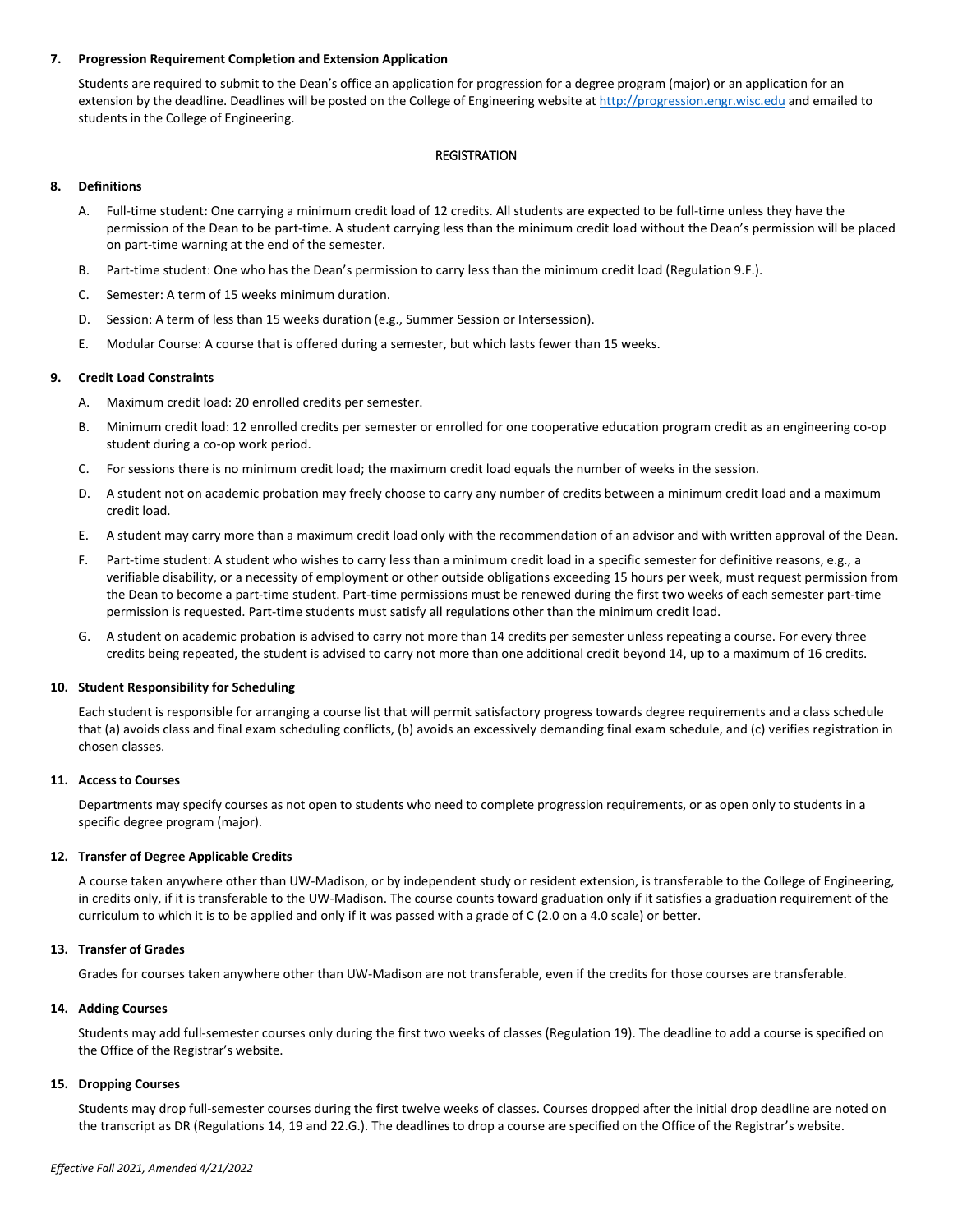## **7. Progression Requirement Completion and Extension Application**

Students are required to submit to the Dean's office an application for progression for a degree program (major) or an application for an extension by the deadline. Deadlines will be posted on the College of Engineering website a[t http://progression.engr.wisc.edu](http://progression.engr.wisc.edu/) and emailed to students in the College of Engineering.

# REGISTRATION

# **8. Definitions**

- A. Full-time student**:** One carrying a minimum credit load of 12 credits. All students are expected to be full-time unless they have the permission of the Dean to be part-time. A student carrying less than the minimum credit load without the Dean's permission will be placed on part-time warning at the end of the semester.
- B. Part-time student: One who has the Dean's permission to carry less than the minimum credit load (Regulation 9.F.).
- C. Semester: A term of 15 weeks minimum duration.
- D. Session: A term of less than 15 weeks duration (e.g., Summer Session or Intersession).
- E. Modular Course: A course that is offered during a semester, but which lasts fewer than 15 weeks.

# **9. Credit Load Constraints**

- A. Maximum credit load: 20 enrolled credits per semester.
- B. Minimum credit load: 12 enrolled credits per semester or enrolled for one cooperative education program credit as an engineering co-op student during a co-op work period.
- C. For sessions there is no minimum credit load; the maximum credit load equals the number of weeks in the session.
- D. A student not on academic probation may freely choose to carry any number of credits between a minimum credit load and a maximum credit load.
- E. A student may carry more than a maximum credit load only with the recommendation of an advisor and with written approval of the Dean.
- F. Part-time student: A student who wishes to carry less than a minimum credit load in a specific semester for definitive reasons, e.g., a verifiable disability, or a necessity of employment or other outside obligations exceeding 15 hours per week, must request permission from the Dean to become a part-time student. Part-time permissions must be renewed during the first two weeks of each semester part-time permission is requested. Part-time students must satisfy all regulations other than the minimum credit load.
- G. A student on academic probation is advised to carry not more than 14 credits per semester unless repeating a course. For every three credits being repeated, the student is advised to carry not more than one additional credit beyond 14, up to a maximum of 16 credits.

## **10. Student Responsibility for Scheduling**

Each student is responsible for arranging a course list that will permit satisfactory progress towards degree requirements and a class schedule that (a) avoids class and final exam scheduling conflicts, (b) avoids an excessively demanding final exam schedule, and (c) verifies registration in chosen classes.

## **11. Access to Courses**

Departments may specify courses as not open to students who need to complete progression requirements, or as open only to students in a specific degree program (major).

## **12. Transfer of Degree Applicable Credits**

A course taken anywhere other than UW-Madison, or by independent study or resident extension, is transferable to the College of Engineering, in credits only, if it is transferable to the UW-Madison. The course counts toward graduation only if it satisfies a graduation requirement of the curriculum to which it is to be applied and only if it was passed with a grade of C (2.0 on a 4.0 scale) or better.

## **13. Transfer of Grades**

Grades for courses taken anywhere other than UW-Madison are not transferable, even if the credits for those courses are transferable.

## **14. Adding Courses**

Students may add full-semester courses only during the first two weeks of classes (Regulation 19). The deadline to add a course is specified on the Office of the Registrar's website.

# **15. Dropping Courses**

Students may drop full-semester courses during the first twelve weeks of classes. Courses dropped after the initial drop deadline are noted on the transcript as DR (Regulations 14, 19 and 22.G.). The deadlines to drop a course are specified on the Office of the Registrar's website.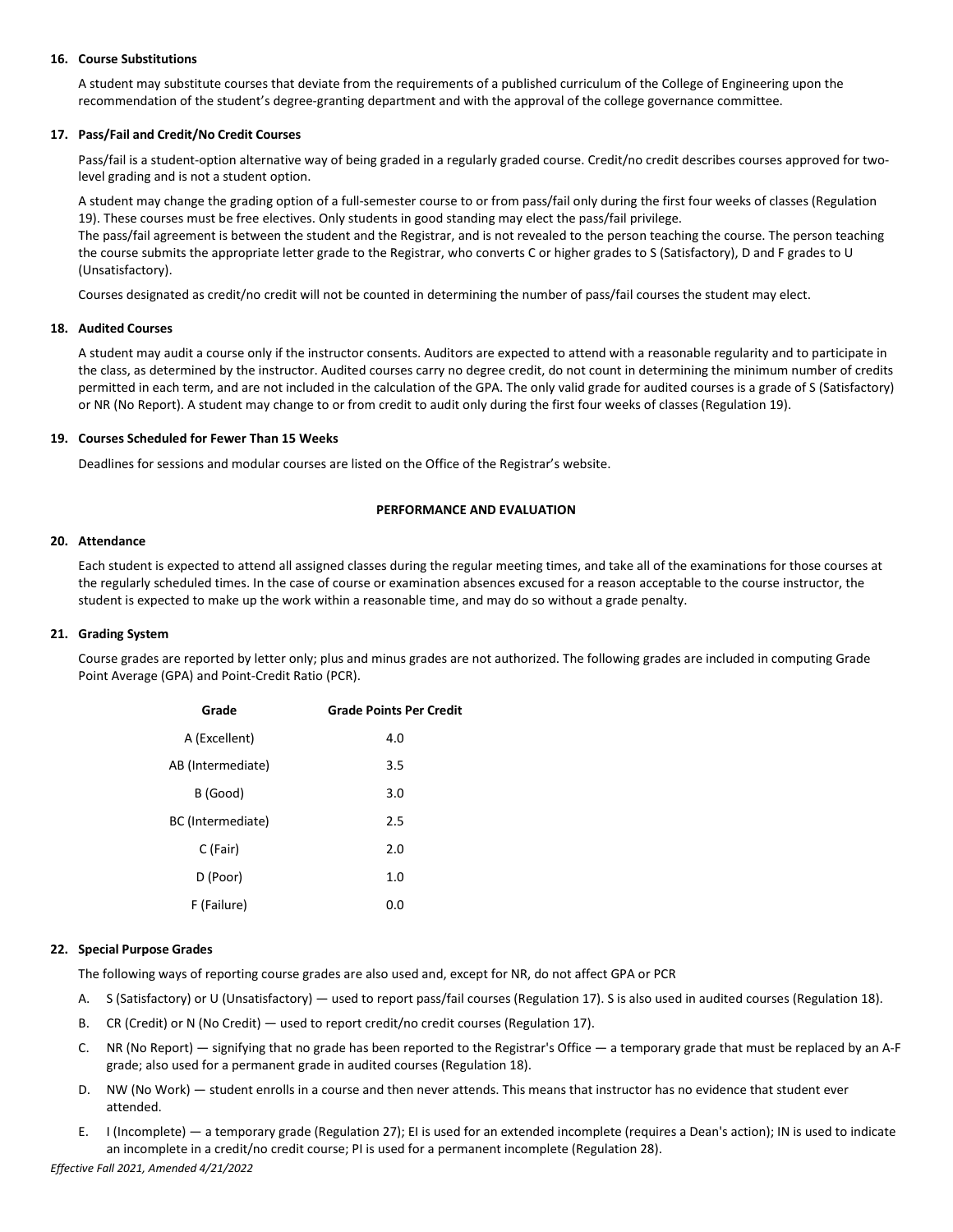## **16. Course Substitutions**

A student may substitute courses that deviate from the requirements of a published curriculum of the College of Engineering upon the recommendation of the student's degree-granting department and with the approval of the college governance committee.

## **17. Pass/Fail and Credit/No Credit Courses**

Pass/fail is a student-option alternative way of being graded in a regularly graded course. Credit/no credit describes courses approved for twolevel grading and is not a student option.

A student may change the grading option of a full-semester course to or from pass/fail only during the first four weeks of classes (Regulation 19). These courses must be free electives. Only students in good standing may elect the pass/fail privilege. The pass/fail agreement is between the student and the Registrar, and is not revealed to the person teaching the course. The person teaching the course submits the appropriate letter grade to the Registrar, who converts C or higher grades to S (Satisfactory), D and F grades to U (Unsatisfactory).

Courses designated as credit/no credit will not be counted in determining the number of pass/fail courses the student may elect.

#### **18. Audited Courses**

A student may audit a course only if the instructor consents. Auditors are expected to attend with a reasonable regularity and to participate in the class, as determined by the instructor. Audited courses carry no degree credit, do not count in determining the minimum number of credits permitted in each term, and are not included in the calculation of the GPA. The only valid grade for audited courses is a grade of S (Satisfactory) or NR (No Report). A student may change to or from credit to audit only during the first four weeks of classes (Regulation 19).

#### **19. Courses Scheduled for Fewer Than 15 Weeks**

Deadlines for sessions and modular courses are listed on the Office of the Registrar's website.

## **PERFORMANCE AND EVALUATION**

#### **20. Attendance**

Each student is expected to attend all assigned classes during the regular meeting times, and take all of the examinations for those courses at the regularly scheduled times. In the case of course or examination absences excused for a reason acceptable to the course instructor, the student is expected to make up the work within a reasonable time, and may do so without a grade penalty.

## **21. Grading System**

Course grades are reported by letter only; plus and minus grades are not authorized. The following grades are included in computing Grade Point Average (GPA) and Point-Credit Ratio (PCR).

| Grade             | <b>Grade Points Per Credit</b> |
|-------------------|--------------------------------|
| A (Excellent)     | 4.0                            |
| AB (Intermediate) | 3.5                            |
| B (Good)          | 3.0                            |
| BC (Intermediate) | 2.5                            |
| C (Fair)          | 2.0                            |
| D (Poor)          | 1.0                            |
| F (Failure)       | 0.0                            |

## **22. Special Purpose Grades**

The following ways of reporting course grades are also used and, except for NR, do not affect GPA or PCR

- A. S (Satisfactory) or U (Unsatisfactory) used to report pass/fail courses (Regulation 17). S is also used in audited courses (Regulation 18).
- B. CR (Credit) or N (No Credit) used to report credit/no credit courses (Regulation 17).
- C. NR (No Report) signifying that no grade has been reported to the Registrar's Office a temporary grade that must be replaced by an A-F grade; also used for a permanent grade in audited courses (Regulation 18).
- D. NW (No Work) student enrolls in a course and then never attends. This means that instructor has no evidence that student ever attended.
- E. I (Incomplete) a temporary grade (Regulation 27); EI is used for an extended incomplete (requires a Dean's action); IN is used to indicate an incomplete in a credit/no credit course; PI is used for a permanent incomplete (Regulation 28).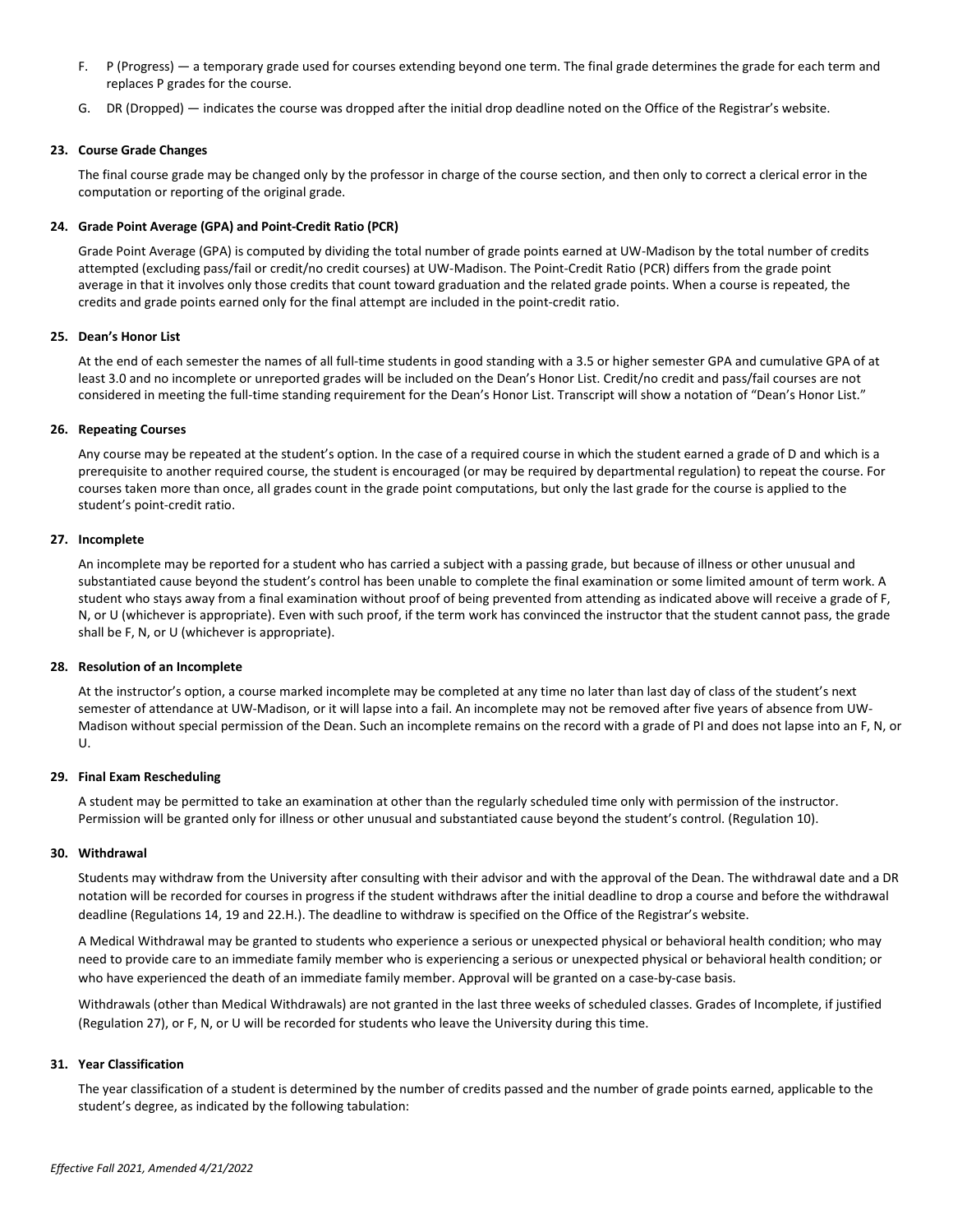- F. P (Progress) a temporary grade used for courses extending beyond one term. The final grade determines the grade for each term and replaces P grades for the course.
- G. DR (Dropped) indicates the course was dropped after the initial drop deadline noted on the Office of the Registrar's website.

## **23. Course Grade Changes**

The final course grade may be changed only by the professor in charge of the course section, and then only to correct a clerical error in the computation or reporting of the original grade.

## **24. Grade Point Average (GPA) and Point-Credit Ratio (PCR)**

Grade Point Average (GPA) is computed by dividing the total number of grade points earned at UW-Madison by the total number of credits attempted (excluding pass/fail or credit/no credit courses) at UW-Madison. The Point-Credit Ratio (PCR) differs from the grade point average in that it involves only those credits that count toward graduation and the related grade points. When a course is repeated, the credits and grade points earned only for the final attempt are included in the point-credit ratio.

## **25. Dean's Honor List**

At the end of each semester the names of all full-time students in good standing with a 3.5 or higher semester GPA and cumulative GPA of at least 3.0 and no incomplete or unreported grades will be included on the Dean's Honor List. Credit/no credit and pass/fail courses are not considered in meeting the full-time standing requirement for the Dean's Honor List. Transcript will show a notation of "Dean's Honor List."

## **26. Repeating Courses**

Any course may be repeated at the student's option. In the case of a required course in which the student earned a grade of D and which is a prerequisite to another required course, the student is encouraged (or may be required by departmental regulation) to repeat the course. For courses taken more than once, all grades count in the grade point computations, but only the last grade for the course is applied to the student's point-credit ratio.

## **27. Incomplete**

An incomplete may be reported for a student who has carried a subject with a passing grade, but because of illness or other unusual and substantiated cause beyond the student's control has been unable to complete the final examination or some limited amount of term work. A student who stays away from a final examination without proof of being prevented from attending as indicated above will receive a grade of F, N, or U (whichever is appropriate). Even with such proof, if the term work has convinced the instructor that the student cannot pass, the grade shall be F, N, or U (whichever is appropriate).

## **28. Resolution of an Incomplete**

At the instructor's option, a course marked incomplete may be completed at any time no later than last day of class of the student's next semester of attendance at UW-Madison, or it will lapse into a fail. An incomplete may not be removed after five years of absence from UW-Madison without special permission of the Dean. Such an incomplete remains on the record with a grade of PI and does not lapse into an F, N, or U.

## **29. Final Exam Rescheduling**

A student may be permitted to take an examination at other than the regularly scheduled time only with permission of the instructor. Permission will be granted only for illness or other unusual and substantiated cause beyond the student's control. (Regulation 10).

## **30. Withdrawal**

Students may withdraw from the University after consulting with their advisor and with the approval of the Dean. The withdrawal date and a DR notation will be recorded for courses in progress if the student withdraws after the initial deadline to drop a course and before the withdrawal deadline (Regulations 14, 19 and 22.H.). The deadline to withdraw is specified on the Office of the Registrar's website.

A Medical Withdrawal may be granted to students who experience a serious or unexpected physical or behavioral health condition; who may need to provide care to an immediate family member who is experiencing a serious or unexpected physical or behavioral health condition; or who have experienced the death of an immediate family member. Approval will be granted on a case-by-case basis.

Withdrawals (other than Medical Withdrawals) are not granted in the last three weeks of scheduled classes. Grades of Incomplete, if justified (Regulation 27), or F, N, or U will be recorded for students who leave the University during this time.

## **31. Year Classification**

The year classification of a student is determined by the number of credits passed and the number of grade points earned, applicable to the student's degree, as indicated by the following tabulation: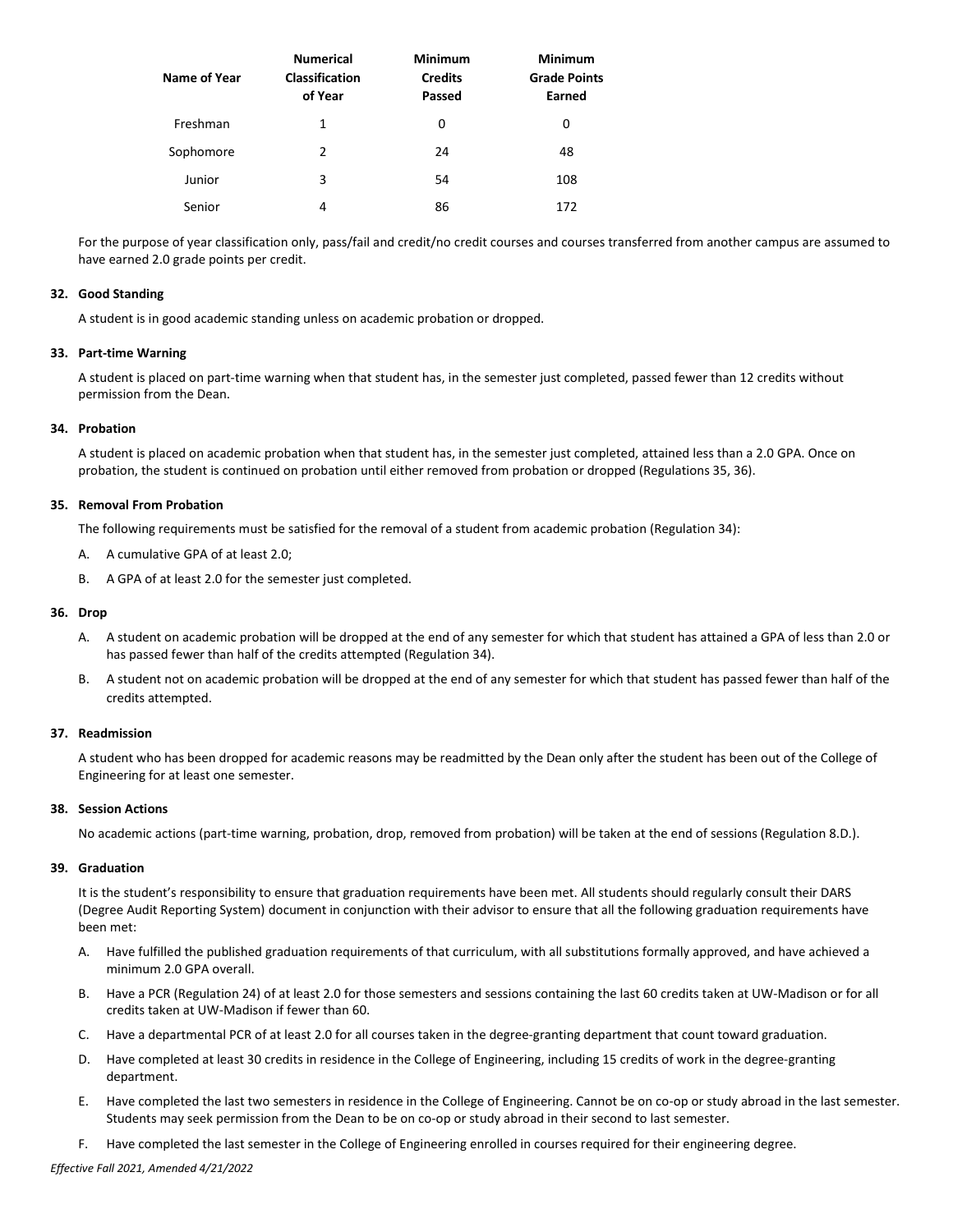| Name of Year | <b>Numerical</b><br><b>Classification</b><br>of Year | <b>Minimum</b><br><b>Credits</b><br>Passed | <b>Minimum</b><br><b>Grade Points</b><br>Earned |
|--------------|------------------------------------------------------|--------------------------------------------|-------------------------------------------------|
| Freshman     | 1                                                    | 0                                          | 0                                               |
| Sophomore    | 2                                                    | 24                                         | 48                                              |
| Junior       | 3                                                    | 54                                         | 108                                             |
| Senior       | 4                                                    | 86                                         | 172                                             |

For the purpose of year classification only, pass/fail and credit/no credit courses and courses transferred from another campus are assumed to have earned 2.0 grade points per credit.

#### **32. Good Standing**

A student is in good academic standing unless on academic probation or dropped.

#### **33. Part-time Warning**

A student is placed on part-time warning when that student has, in the semester just completed, passed fewer than 12 credits without permission from the Dean.

## **34. Probation**

A student is placed on academic probation when that student has, in the semester just completed, attained less than a 2.0 GPA. Once on probation, the student is continued on probation until either removed from probation or dropped (Regulations 35, 36).

#### **35. Removal From Probation**

The following requirements must be satisfied for the removal of a student from academic probation (Regulation 34):

- A. A cumulative GPA of at least 2.0;
- B. A GPA of at least 2.0 for the semester just completed.

#### **36. Drop**

- A. A student on academic probation will be dropped at the end of any semester for which that student has attained a GPA of less than 2.0 or has passed fewer than half of the credits attempted (Regulation 34).
- B. A student not on academic probation will be dropped at the end of any semester for which that student has passed fewer than half of the credits attempted.

# **37. Readmission**

A student who has been dropped for academic reasons may be readmitted by the Dean only after the student has been out of the College of Engineering for at least one semester.

#### **38. Session Actions**

No academic actions (part-time warning, probation, drop, removed from probation) will be taken at the end of sessions (Regulation 8.D.).

# **39. Graduation**

It is the student's responsibility to ensure that graduation requirements have been met. All students should regularly consult their DARS (Degree Audit Reporting System) document in conjunction with their advisor to ensure that all the following graduation requirements have been met:

- A. Have fulfilled the published graduation requirements of that curriculum, with all substitutions formally approved, and have achieved a minimum 2.0 GPA overall.
- B. Have a PCR (Regulation 24) of at least 2.0 for those semesters and sessions containing the last 60 credits taken at UW-Madison or for all credits taken at UW-Madison if fewer than 60.
- C. Have a departmental PCR of at least 2.0 for all courses taken in the degree-granting department that count toward graduation.
- D. Have completed at least 30 credits in residence in the College of Engineering, including 15 credits of work in the degree-granting department.
- E. Have completed the last two semesters in residence in the College of Engineering. Cannot be on co-op or study abroad in the last semester. Students may seek permission from the Dean to be on co-op or study abroad in their second to last semester.
- F. Have completed the last semester in the College of Engineering enrolled in courses required for their engineering degree.